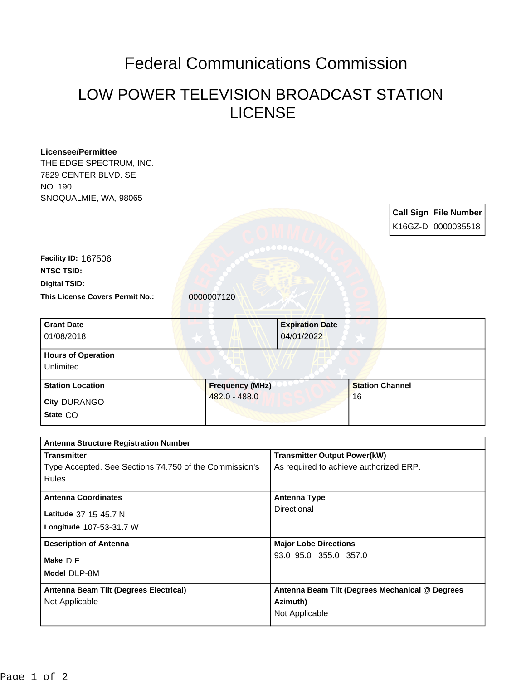## Federal Communications Commission

## LOW POWER TELEVISION BROADCAST STATION LICENSE

|                                                        | 04/01/2022                                      |                        |                                             |
|--------------------------------------------------------|-------------------------------------------------|------------------------|---------------------------------------------|
|                                                        |                                                 |                        |                                             |
|                                                        |                                                 |                        |                                             |
|                                                        |                                                 |                        |                                             |
| <b>Frequency (MHz)</b>                                 |                                                 | <b>Station Channel</b> |                                             |
| 482.0 - 488.0                                          |                                                 | 16                     |                                             |
|                                                        |                                                 |                        |                                             |
|                                                        |                                                 |                        |                                             |
| <b>Antenna Structure Registration Number</b>           |                                                 |                        |                                             |
|                                                        | <b>Transmitter Output Power(kW)</b>             |                        |                                             |
| Type Accepted. See Sections 74.750 of the Commission's | As required to achieve authorized ERP.          |                        |                                             |
|                                                        |                                                 |                        |                                             |
|                                                        | <b>Antenna Type</b>                             |                        |                                             |
|                                                        | Directional                                     |                        |                                             |
|                                                        |                                                 |                        |                                             |
|                                                        | <b>Major Lobe Directions</b>                    |                        |                                             |
|                                                        | 93.0 95.0 355.0 357.0                           |                        |                                             |
|                                                        |                                                 |                        |                                             |
| Antenna Beam Tilt (Degrees Electrical)                 | Antenna Beam Tilt (Degrees Mechanical @ Degrees |                        |                                             |
|                                                        | Azimuth)<br>Not Applicable                      |                        |                                             |
|                                                        | 0000007120                                      | <b>Expiration Date</b> | Call Sign File Number<br>K16GZ-D 0000035518 |